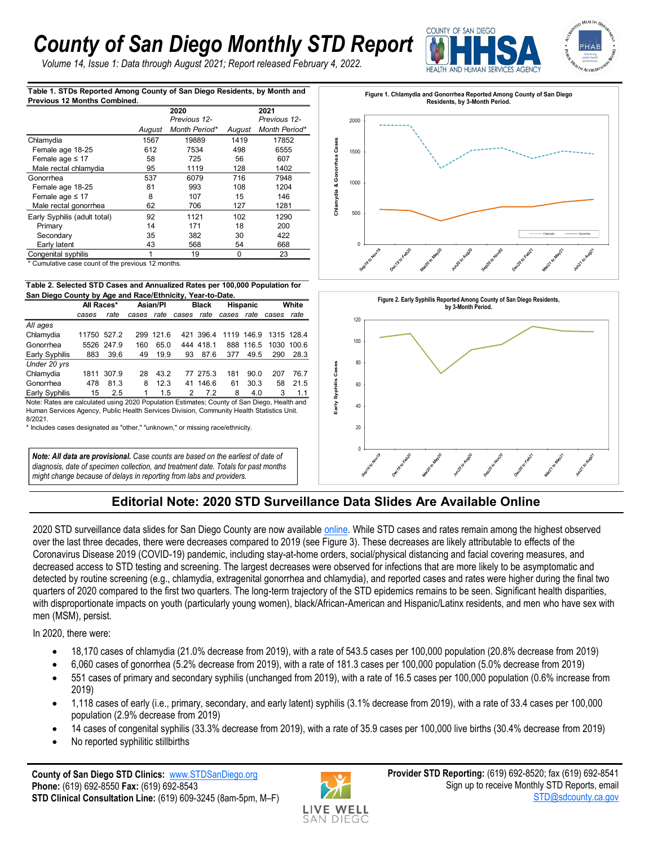## *County of San Diego Monthly STD Report*

*Volume 14, Issue 1: Data through August 2021; Report released February 4, 2022.*



**Table 1. STDs Reported Among County of San Diego Residents, by Month and Previous 12 Months Combined.**

|                              |        | 2020<br>Previous 12- |        | 2021<br>Previous 12- |  |  |
|------------------------------|--------|----------------------|--------|----------------------|--|--|
|                              | August | Month Period*        | August | Month Period*        |  |  |
| Chlamydia                    | 1567   | 19889                | 1419   | 17852                |  |  |
| Female age 18-25             | 612    | 7534                 | 498    | 6555                 |  |  |
| Female age $\leq 17$         | 58     | 725<br>56            |        | 607                  |  |  |
| Male rectal chlamydia        | 95     | 1119                 | 128    | 1402                 |  |  |
| Gonorrhea                    | 537    | 6079                 | 716    | 7948                 |  |  |
| Female age 18-25             | 81     | 993                  | 108    | 1204                 |  |  |
| Female age $\leq 17$         | 8      | 107                  | 15     | 146                  |  |  |
| Male rectal gonorrhea        | 62     | 706                  | 127    | 1281                 |  |  |
| Early Syphilis (adult total) | 92     | 1121                 | 102    | 1290                 |  |  |
| Primary                      | 14     | 171                  | 18     | 200                  |  |  |
| Secondary                    | 35     | 382                  | 30     | 422                  |  |  |
| Early latent                 | 43     | 568                  | 54     | 668                  |  |  |
| Congenital syphilis          |        | 19                   | 0      | 23                   |  |  |

\* Cumulative case count of the previous 12 months.

## **Table 2. Selected STD Cases and Annualized Rates per 100,000 Population for San Diego County by Age and Race/Ethnicity, Year-to-Date.**

| Jan Diego Obanty by Age and Race/Ethnicity, Tear-to-Date.                                   |             |            |            |           |              |           |                 |            |            |            |  |  |
|---------------------------------------------------------------------------------------------|-------------|------------|------------|-----------|--------------|-----------|-----------------|------------|------------|------------|--|--|
|                                                                                             | All Races*  |            | Asian/PI   |           | <b>Black</b> |           | <b>Hispanic</b> |            | White      |            |  |  |
|                                                                                             | cases       | rate       | cases rate |           | cases rate   |           | cases rate      |            | cases      | rate       |  |  |
| All ages                                                                                    |             |            |            |           |              |           |                 |            |            |            |  |  |
| Chlamydia                                                                                   | 11750 527.2 |            |            | 299 121.6 |              | 421 396.4 |                 | 1119 146.9 | 1315 128.4 |            |  |  |
| Gonorrhea                                                                                   |             | 5526 247.9 | 160        | 65.0      |              | 444 418.1 |                 | 888 116.5  |            | 1030 100.6 |  |  |
| Early Syphilis                                                                              | 883         | 39.6       | 49         | 19.9      | 93           | 87.6      | 377             | 49.5       | 290        | 28.3       |  |  |
| Under 20 yrs                                                                                |             |            |            |           |              |           |                 |            |            |            |  |  |
| Chlamydia                                                                                   | 1811        | 307.9      | 28         | 43.2      |              | 77 275.3  | 181             | 90.0       | 207        | 76.7       |  |  |
| Gonorrhea                                                                                   | 478         | 81.3       | 8          | 12.3      |              | 41 146.6  | 61              | 30.3       | 58         | 21.5       |  |  |
| Early Syphilis                                                                              | 15          | 2.5        |            | 1.5       | 2            | 7.2       | 8               | 4.0        | 3          | 1.1        |  |  |
| Note: Rates are calculated using 2020 Population Estimates: County of San Diego, Health and |             |            |            |           |              |           |                 |            |            |            |  |  |

Human Services Agency, Public Health Services Division, Community Health Statistics Unit. 8/2021.

\* Includes cases designated as "other," "unknown," or missing race/ethnicity.

*Note: All data are provisional. Case counts are based on the earliest of date of diagnosis, date of specimen collection, and treatment date. Totals for past months might change because of delays in reporting from labs and providers.* 





## **Editorial Note: 2020 STD Surveillance Data Slides Are Available Online**

2020 STD surveillance data slides for San Diego County are now available [online.](https://www.sandiegocounty.gov/content/sdc/hhsa/programs/phs/hiv_std_hepatitis_branch/reports_and_statistics.html) While STD cases and rates remain among the highest observed over the last three decades, there were decreases compared to 2019 (see Figure 3). These decreases are likely attributable to effects of the Coronavirus Disease 2019 (COVID-19) pandemic, including stay-at-home orders, social/physical distancing and facial covering measures, and decreased access to STD testing and screening. The largest decreases were observed for infections that are more likely to be asymptomatic and detected by routine screening (e.g., chlamydia, extragenital gonorrhea and chlamydia), and reported cases and rates were higher during the final two quarters of 2020 compared to the first two quarters. The long-term trajectory of the STD epidemics remains to be seen. Significant health disparities, with disproportionate impacts on youth (particularly young women), black/African-American and Hispanic/Latinx residents, and men who have sex with men (MSM), persist.

In 2020, there were:

- 18,170 cases of chlamydia (21.0% decrease from 2019), with a rate of 543.5 cases per 100,000 population (20.8% decrease from 2019)
- 6,060 cases of gonorrhea (5.2% decrease from 2019), with a rate of 181.3 cases per 100,000 population (5.0% decrease from 2019)
- 551 cases of primary and secondary syphilis (unchanged from 2019), with a rate of 16.5 cases per 100,000 population (0.6% increase from 2019)
- 1,118 cases of early (i.e., primary, secondary, and early latent) syphilis (3.1% decrease from 2019), with a rate of 33.4 cases per 100,000 population (2.9% decrease from 2019)
- 14 cases of congenital syphilis (33.3% decrease from 2019), with a rate of 35.9 cases per 100,000 live births (30.4% decrease from 2019)
- No reported syphilitic stillbirths